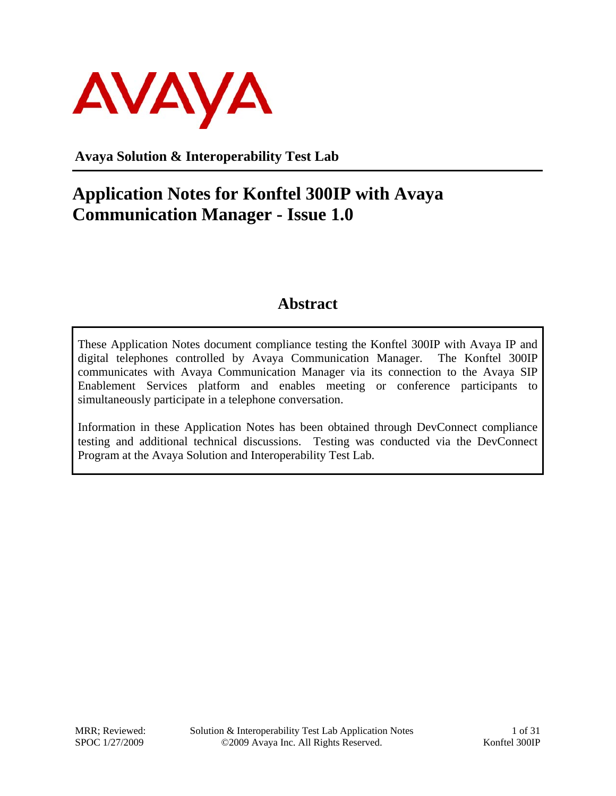

**Avaya Solution & Interoperability Test Lab** 

# **Application Notes for Konftel 300IP with Avaya Communication Manager - Issue 1.0**

## **Abstract**

These Application Notes document compliance testing the Konftel 300IP with Avaya IP and digital telephones controlled by Avaya Communication Manager. The Konftel 300IP communicates with Avaya Communication Manager via its connection to the Avaya SIP Enablement Services platform and enables meeting or conference participants to simultaneously participate in a telephone conversation.

Information in these Application Notes has been obtained through DevConnect compliance testing and additional technical discussions. Testing was conducted via the DevConnect Program at the Avaya Solution and Interoperability Test Lab.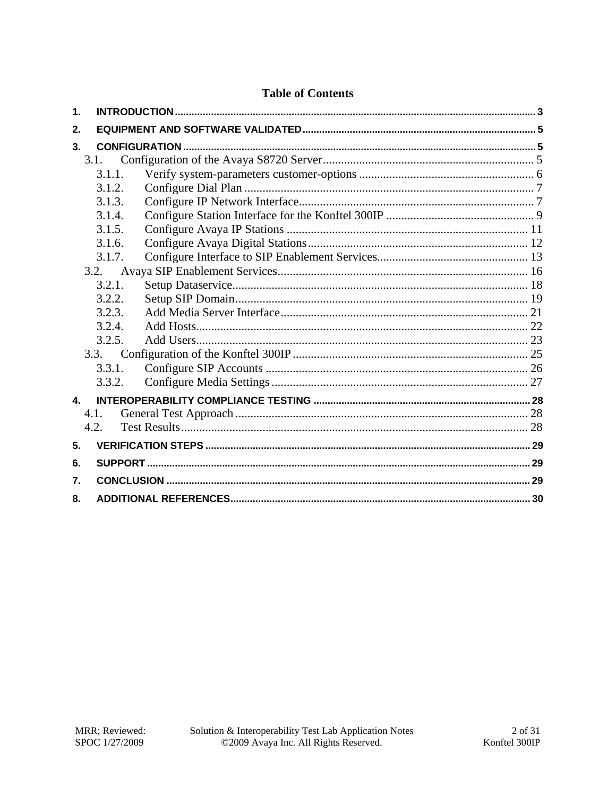|  | <b>Table of Contents</b> |
|--|--------------------------|
|  |                          |

| 3.1.   |  |
|--------|--|
| 3.1.1. |  |
| 3.1.2. |  |
| 3.1.3. |  |
| 3.1.4. |  |
| 3.1.5. |  |
| 3.1.6. |  |
| 3.1.7. |  |
| 3.2.   |  |
| 3.2.1. |  |
| 3.2.2. |  |
| 3.2.3. |  |
| 3.2.4. |  |
| 3.2.5. |  |
| 3.3.   |  |
| 3.3.1. |  |
| 3.3.2. |  |
|        |  |
| 4.1.   |  |
| 4.2.   |  |
|        |  |
|        |  |
|        |  |
|        |  |
|        |  |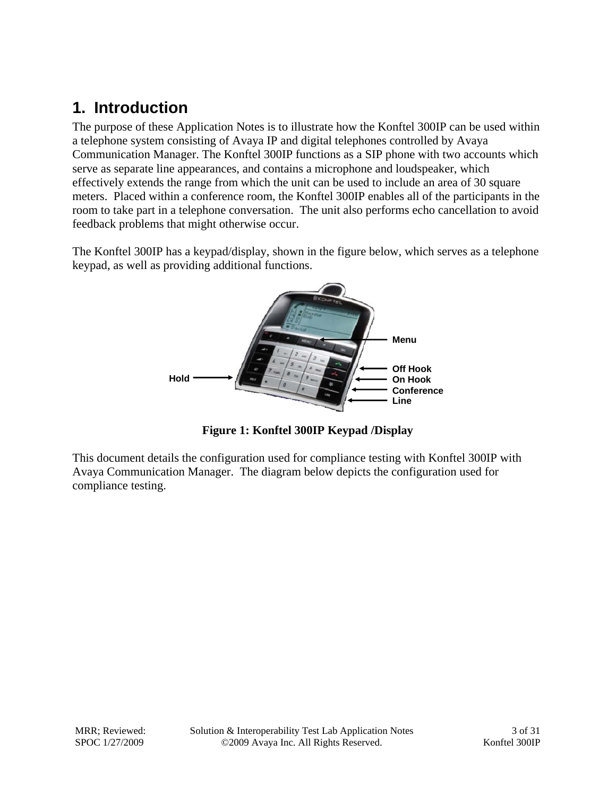## **1. Introduction**

The purpose of these Application Notes is to illustrate how the Konftel 300IP can be used within a telephone system consisting of Avaya IP and digital telephones controlled by Avaya Communication Manager. The Konftel 300IP functions as a SIP phone with two accounts which serve as separate line appearances, and contains a microphone and loudspeaker, which effectively extends the range from which the unit can be used to include an area of 30 square meters. Placed within a conference room, the Konftel 300IP enables all of the participants in the room to take part in a telephone conversation. The unit also performs echo cancellation to avoid feedback problems that might otherwise occur.

The Konftel 300IP has a keypad/display, shown in the figure below, which serves as a telephone keypad, as well as providing additional functions.



**Figure 1: Konftel 300IP Keypad /Display** 

This document details the configuration used for compliance testing with Konftel 300IP with Avaya Communication Manager. The diagram below depicts the configuration used for compliance testing.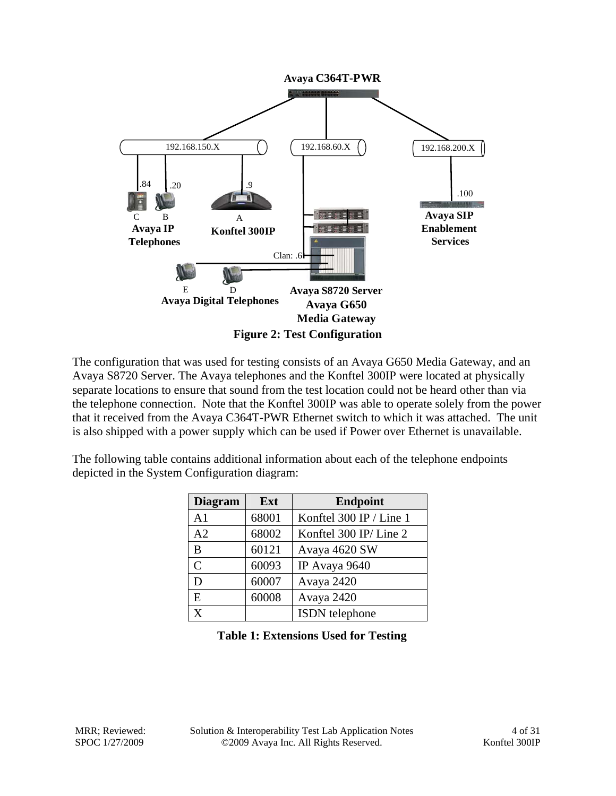

The configuration that was used for testing consists of an Avaya G650 Media Gateway, and an Avaya S8720 Server. The Avaya telephones and the Konftel 300IP were located at physically separate locations to ensure that sound from the test location could not be heard other than via the telephone connection. Note that the Konftel 300IP was able to operate solely from the power that it received from the Avaya C364T-PWR Ethernet switch to which it was attached. The unit is also shipped with a power supply which can be used if Power over Ethernet is unavailable.

The following table contains additional information about each of the telephone endpoints depicted in the System Configuration diagram:

| <b>Diagram</b> | Ext   | <b>Endpoint</b>         |
|----------------|-------|-------------------------|
| A <sub>1</sub> | 68001 | Konftel 300 IP / Line 1 |
| A <sub>2</sub> | 68002 | Konftel 300 IP/Line 2   |
| B              | 60121 | Avaya 4620 SW           |
| $\overline{C}$ | 60093 | IP Avaya 9640           |
| D              | 60007 | Avaya 2420              |
| E              | 60008 | Avaya 2420              |
| $\mathbf x$    |       | <b>ISDN</b> telephone   |

**Table 1: Extensions Used for Testing**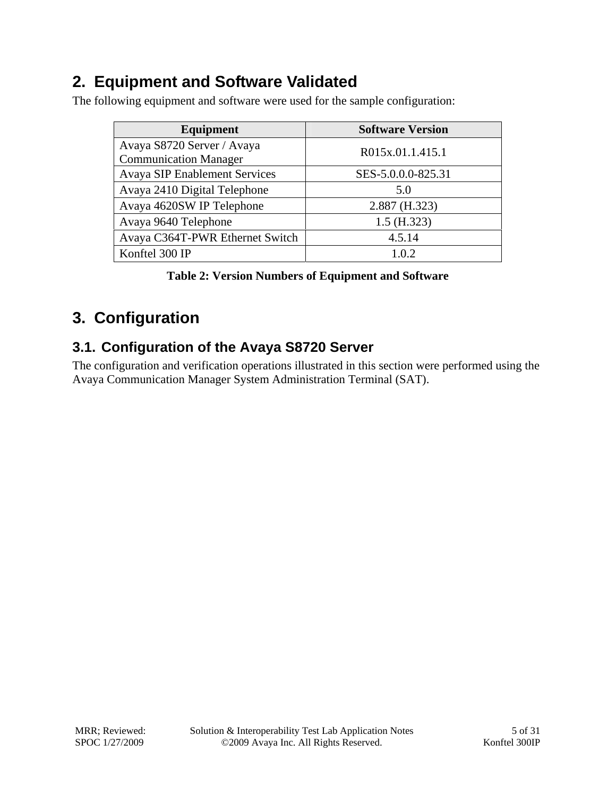## **2. Equipment and Software Validated**

The following equipment and software were used for the sample configuration:

| Equipment                                                  | <b>Software Version</b> |
|------------------------------------------------------------|-------------------------|
| Avaya S8720 Server / Avaya<br><b>Communication Manager</b> | R015x.01.1.415.1        |
| <b>Avaya SIP Enablement Services</b>                       | SES-5.0.0.0-825.31      |
| Avaya 2410 Digital Telephone                               | 5.0                     |
| Avaya 4620SW IP Telephone                                  | 2.887 (H.323)           |
| Avaya 9640 Telephone                                       | $1.5$ (H.323)           |
| Avaya C364T-PWR Ethernet Switch                            | 4.5.14                  |
| Konftel 300 IP                                             | 1.0.2                   |

## **3. Configuration**

## **3.1. Configuration of the Avaya S8720 Server**

The configuration and verification operations illustrated in this section were performed using the Avaya Communication Manager System Administration Terminal (SAT).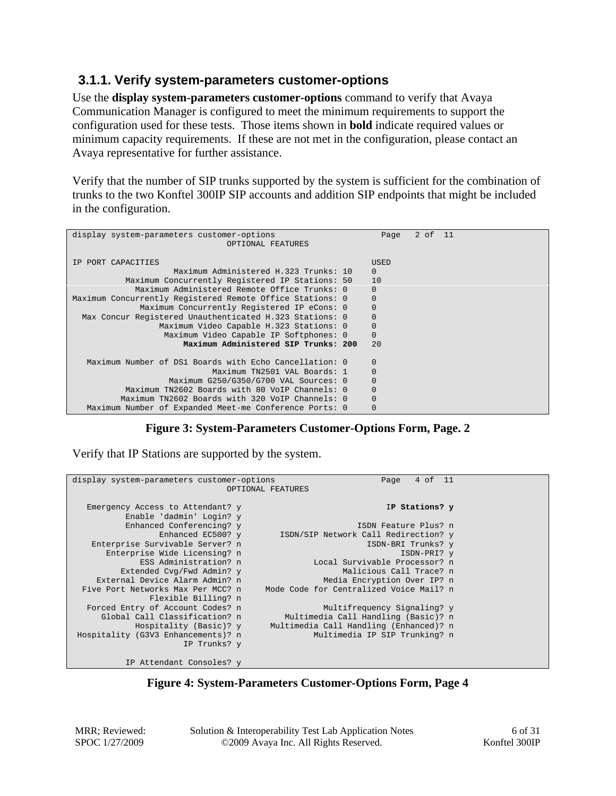#### **3.1.1. Verify system-parameters customer-options**

Use the **display system-parameters customer-options** command to verify that Avaya Communication Manager is configured to meet the minimum requirements to support the configuration used for these tests. Those items shown in **bold** indicate required values or minimum capacity requirements. If these are not met in the configuration, please contact an Avaya representative for further assistance.

Verify that the number of SIP trunks supported by the system is sufficient for the combination of trunks to the two Konftel 300IP SIP accounts and addition SIP endpoints that might be included in the configuration.

| display system-parameters customer-options<br>OPTIONAL FEATURES | Page           | 2 of 11 |  |
|-----------------------------------------------------------------|----------------|---------|--|
| IP PORT CAPACITIES                                              | <b>USED</b>    |         |  |
| Maximum Administered H.323 Trunks: 10                           | $\mathbf{0}$   |         |  |
| Maximum Concurrently Registered IP Stations: 50                 | 10             |         |  |
| Maximum Administered Remote Office Trunks: 0                    | $\mathbf{0}$   |         |  |
| Maximum Concurrently Registered Remote Office Stations: 0       | $\mathbf 0$    |         |  |
| Maximum Concurrently Registered IP eCons: 0                     | $\mathbf 0$    |         |  |
| Max Concur Registered Unauthenticated H.323 Stations: 0         | $\mathbf{0}$   |         |  |
| Maximum Video Capable H.323 Stations: 0                         | $\mathbf 0$    |         |  |
| Maximum Video Capable IP Softphones: 0                          |                |         |  |
| Maximum Administered SIP Trunks: 200                            | 20             |         |  |
| Maximum Number of DS1 Boards with Echo Cancellation: 0          | $\mathbf{0}$   |         |  |
| Maximum TN2501 VAL Boards: 1                                    | $\mathbf 0$    |         |  |
| Maximum G250/G350/G700 VAL Sources: 0                           | $\mathbf 0$    |         |  |
| Maximum TN2602 Boards with 80 VoIP Channels: 0                  |                |         |  |
| Maximum TN2602 Boards with 320 VoIP Channels: 0                 |                |         |  |
| Maximum Number of Expanded Meet-me Conference Ports: 0          | $\overline{0}$ |         |  |

#### **Figure 3: System-Parameters Customer-Options Form, Page. 2**

Verify that IP Stations are supported by the system.

| display system-parameters customer-options | 4 of 11<br>Page<br>OPTIONAL FEATURES    |
|--------------------------------------------|-----------------------------------------|
|                                            |                                         |
| Emergency Access to Attendant? y           | IP Stations? y                          |
| Enable 'dadmin' Login? y                   |                                         |
| Enhanced Conferencing? y                   | ISDN Feature Plus? n                    |
| Enhanced EC500? y                          | ISDN/SIP Network Call Redirection? y    |
| Enterprise Survivable Server? n            | ISDN-BRI Trunks? y                      |
| Enterprise Wide Licensing? n               | ISDN-PRI? y                             |
| ESS Administration? n                      | Local Survivable Processor? n           |
| Extended Cvg/Fwd Admin? y                  | Malicious Call Trace? n                 |
| External Device Alarm Admin? n             | Media Encryption Over IP? n             |
| Five Port Networks Max Per MCC? n          | Mode Code for Centralized Voice Mail? n |
| Flexible Billing? n                        |                                         |
| Forced Entry of Account Codes? n           | Multifrequency Signaling? y             |
| Global Call Classification? n              | Multimedia Call Handling (Basic)? n     |
| Hospitality (Basic)? y                     | Multimedia Call Handling (Enhanced)? n  |
| Hospitality (G3V3 Enhancements)? n         | Multimedia IP SIP Trunking? n           |
| IP Trunks? y                               |                                         |
|                                            |                                         |
| IP Attendant Consoles? y                   |                                         |

**Figure 4: System-Parameters Customer-Options Form, Page 4**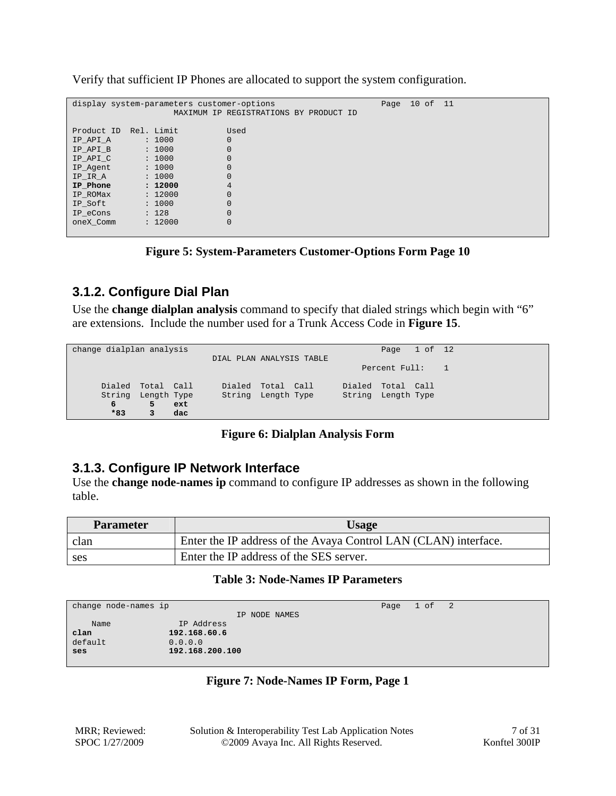|                       | display system-parameters customer-options |                                        | Page | 10 of 11 |  |
|-----------------------|--------------------------------------------|----------------------------------------|------|----------|--|
|                       |                                            | MAXIMUM IP REGISTRATIONS BY PRODUCT ID |      |          |  |
|                       |                                            |                                        |      |          |  |
| Product ID Rel. Limit |                                            | Used                                   |      |          |  |
|                       |                                            |                                        |      |          |  |
| IP API A              | : 1000                                     | $\mathbf{0}$                           |      |          |  |
| $IP$ $API$ $B$        | : 1000                                     | $\mathbf{0}$                           |      |          |  |
| $IP$ $API$ $C$        | : 1000                                     | $\mathbf{0}$                           |      |          |  |
| IP_Agent              | : 1000                                     | $\mathbf{0}$                           |      |          |  |
| IP_IR_A               | : 1000                                     | $\mathbf{0}$                           |      |          |  |
| IP Phone              | : 12000                                    | $\overline{4}$                         |      |          |  |
| IP ROMax              | : 12000                                    | $\mathbf{0}$                           |      |          |  |
| IP Soft               | : 1000                                     | $\Omega$                               |      |          |  |
| IP eCons              | : 128                                      | $\Omega$                               |      |          |  |
| oneX Comm             | : 12000                                    | $\mathbf{0}$                           |      |          |  |
|                       |                                            |                                        |      |          |  |

Verify that sufficient IP Phones are allocated to support the system configuration.



## **3.1.2. Configure Dial Plan**

Use the **change dialplan analysis** command to specify that dialed strings which begin with "6" are extensions. Include the number used for a Trunk Access Code in **Figure 15**.

```
change dialplan analysis Page 1 of 12 
                    DIAL PLAN ANALYSIS TABLE 
                                        Percent Full: 1
 Dialed Total Call Dialed Total Call Dialed Total Call 
 String Length Type String Length Type String Length Type 
 6 5 ext 
 *83 3 dac
```
#### **Figure 6: Dialplan Analysis Form**

#### **3.1.3. Configure IP Network Interface**

Use the **change node-names ip** command to configure IP addresses as shown in the following table.

| <b>Parameter</b> | <b>Usage</b>                                                    |
|------------------|-----------------------------------------------------------------|
| clan             | Enter the IP address of the Avaya Control LAN (CLAN) interface. |
| ses              | Enter the IP address of the SES server.                         |

#### **Table 3: Node-Names IP Parameters**

| change node-names ip |                 |               | Page | 1 of 2 |  |
|----------------------|-----------------|---------------|------|--------|--|
|                      |                 | IP NODE NAMES |      |        |  |
| Name                 | IP Address      |               |      |        |  |
| clan                 | 192.168.60.6    |               |      |        |  |
| default              | 0.0.0.0         |               |      |        |  |
| ses                  | 192.168.200.100 |               |      |        |  |
|                      |                 |               |      |        |  |

#### **Figure 7: Node-Names IP Form, Page 1**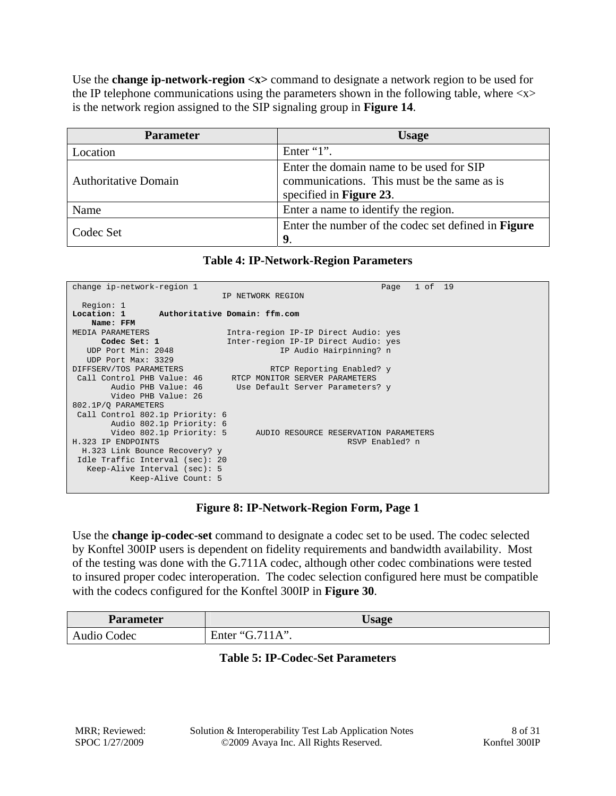Use the **change ip-network-region <x>** command to designate a network region to be used for the IP telephone communications using the parameters shown in the following table, where  $\langle x \rangle$ is the network region assigned to the SIP signaling group in **Figure 14**.

| <b>Parameter</b>            | <b>Usage</b>                                                                                                       |
|-----------------------------|--------------------------------------------------------------------------------------------------------------------|
| Location                    | Enter " $1$ ".                                                                                                     |
| <b>Authoritative Domain</b> | Enter the domain name to be used for SIP<br>communications. This must be the same as is<br>specified in Figure 23. |
| Name                        | Enter a name to identify the region.                                                                               |
| Codec Set                   | Enter the number of the codec set defined in <b>Figure</b><br>9.                                                   |

#### **Table 4: IP-Network-Region Parameters**

| change ip-network-region 1      |                                                      | Page 1 of 19    |
|---------------------------------|------------------------------------------------------|-----------------|
|                                 | IP NETWORK REGION                                    |                 |
| Region: 1                       |                                                      |                 |
| Location: 1                     | Authoritative Domain: ffm.com                        |                 |
| Name: FFM                       |                                                      |                 |
| MEDIA PARAMETERS                | Intra-region IP-IP Direct Audio: yes                 |                 |
| Codec Set: 1                    | Inter-region IP-IP Direct Audio: yes                 |                 |
| UDP Port Min: 2048              | IP Audio Hairpinning? n                              |                 |
| UDP Port Max: 3329              |                                                      |                 |
| DIFFSERV/TOS PARAMETERS         | RTCP Reporting Enabled? y                            |                 |
| Call Control PHB Value: 46      | RTCP MONITOR SERVER PARAMETERS                       |                 |
|                                 | Audio PHB Value: 46 Use Default Server Parameters? y |                 |
| Video PHB Value: 26             |                                                      |                 |
| 802.1P/O PARAMETERS             |                                                      |                 |
| Call Control 802.1p Priority: 6 |                                                      |                 |
| Audio 802.1p Priority: 6        |                                                      |                 |
| Video 802.1p Priority: 5        | AUDIO RESOURCE RESERVATION PARAMETERS                |                 |
| H.323 IP ENDPOINTS              |                                                      | RSVP Enabled? n |
| H.323 Link Bounce Recovery? y   |                                                      |                 |
| Idle Traffic Interval (sec): 20 |                                                      |                 |
| Keep-Alive Interval (sec): 5    |                                                      |                 |
| Keep-Alive Count: 5             |                                                      |                 |

#### **Figure 8: IP-Network-Region Form, Page 1**

Use the **change ip-codec-set** command to designate a codec set to be used. The codec selected by Konftel 300IP users is dependent on fidelity requirements and bandwidth availability. Most of the testing was done with the G.711A codec, although other codec combinations were tested to insured proper codec interoperation. The codec selection configured here must be compatible with the codecs configured for the Konftel 300IP in **Figure 30**.

| <b>Parameter</b> | Usage              |
|------------------|--------------------|
| $\cdot$          | $711 \mathrm{A}$ " |
| Audio Codec      | Enter "G."         |

#### **Table 5: IP-Codec-Set Parameters**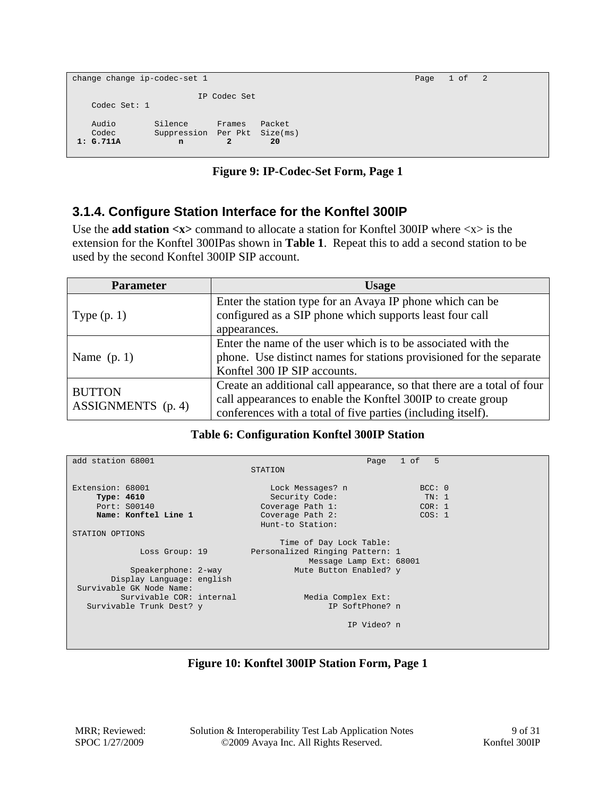```
change change ip-codec-set 1 Page 1 of 2
                      IP Codec Set 
    Codec Set: 1 
  Audio Silence Frames Packet<br>Codec Suppression Per-Pkt Size(m
            Suppression Per Pkt Size(ms)
1: G.711A n
```
**Figure 9: IP-Codec-Set Form, Page 1** 

### **3.1.4. Configure Station Interface for the Konftel 300IP**

Use the **add station**  $\langle x \rangle$  command to allocate a station for Konftel 300IP where  $\langle x \rangle$  is the extension for the Konftel 300IPas shown in **Table 1**. Repeat this to add a second station to be used by the second Konftel 300IP SIP account.

| <b>Parameter</b>                    | <b>Usage</b>                                                                                                                                                                                            |
|-------------------------------------|---------------------------------------------------------------------------------------------------------------------------------------------------------------------------------------------------------|
| Type $(p, 1)$                       | Enter the station type for an Avaya IP phone which can be<br>configured as a SIP phone which supports least four call                                                                                   |
|                                     | appearances.<br>Enter the name of the user which is to be associated with the                                                                                                                           |
| Name $(p, 1)$                       | phone. Use distinct names for stations provisioned for the separate<br>Konftel 300 IP SIP accounts.                                                                                                     |
| <b>BUTTON</b><br>ASSIGNMENTS (p. 4) | Create an additional call appearance, so that there are a total of four<br>call appearances to enable the Konftel 300IP to create group<br>conferences with a total of five parties (including itself). |

#### **Table 6: Configuration Konftel 300IP Station**

```
add station 68001 Page 1 of 5
                                 STATION 
Extension: 68001 Lock Messages? n BCC: 0<br>
Type: 4610 Security Code: TN: 1
                                   The Type: Security Code:
    Port: S00140 Coverage Path 1: COR: 1<br>
Name: Konftel Line 1 Coverage Path 2: COS: 1
    Name: Konftel Line 1
                                  Hunt-to Station: 
STATION OPTIONS 
            Time of Day Lock Table: 
                              Personalized Ringing Pattern: 1
          Message Lamp Ext: 68001<br>Speakerphone: 2-way Mute Button Enabled? y
                                      Mute Button Enabled? y
       Display Language: english 
 Survivable GK Node Name: 
       Survivable COR: internal Media Complex Ext:
  Survivable Trunk Dest? y IP SoftPhone? n
                                                   IP Video? n
```
#### **Figure 10: Konftel 300IP Station Form, Page 1**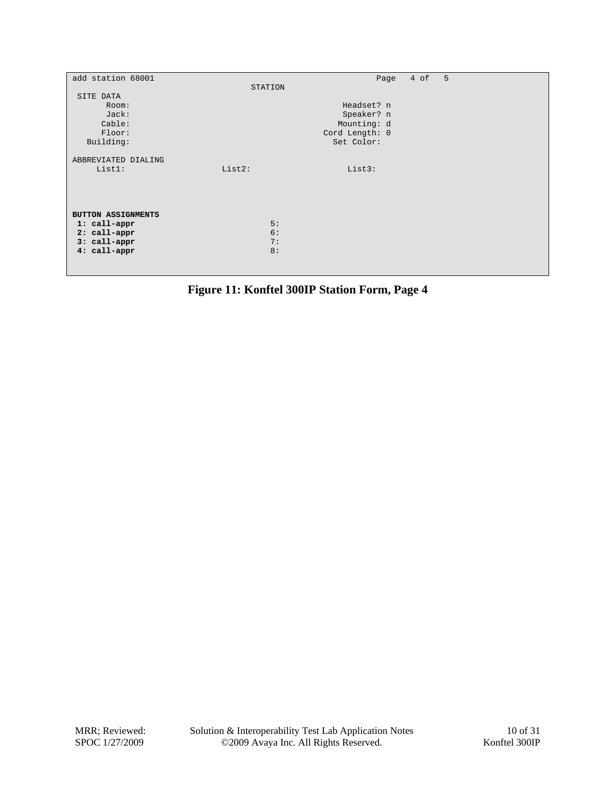| add station 68001   |         | Page           | 4 of | 5 |
|---------------------|---------|----------------|------|---|
|                     | STATION |                |      |   |
| SITE DATA           |         |                |      |   |
| Room:               |         | Headset? n     |      |   |
| Jack:               |         | Speaker? n     |      |   |
| Cable:              |         | Mounting: d    |      |   |
| Floor:              |         | Cord Length: 0 |      |   |
| Building:           |         | Set Color:     |      |   |
|                     |         |                |      |   |
| ABBREVIATED DIALING |         |                |      |   |
| List1:              | List2:  | List3:         |      |   |
|                     |         |                |      |   |
|                     |         |                |      |   |
|                     |         |                |      |   |
|                     |         |                |      |   |
| BUTTON ASSIGNMENTS  |         |                |      |   |
| 1: call-appr        | 5:      |                |      |   |
| 2: call-appr        | 6:      |                |      |   |
| 3: call-appr        | 7:      |                |      |   |
| 4: call-appr        | 8:      |                |      |   |
|                     |         |                |      |   |

**Figure 11: Konftel 300IP Station Form, Page 4**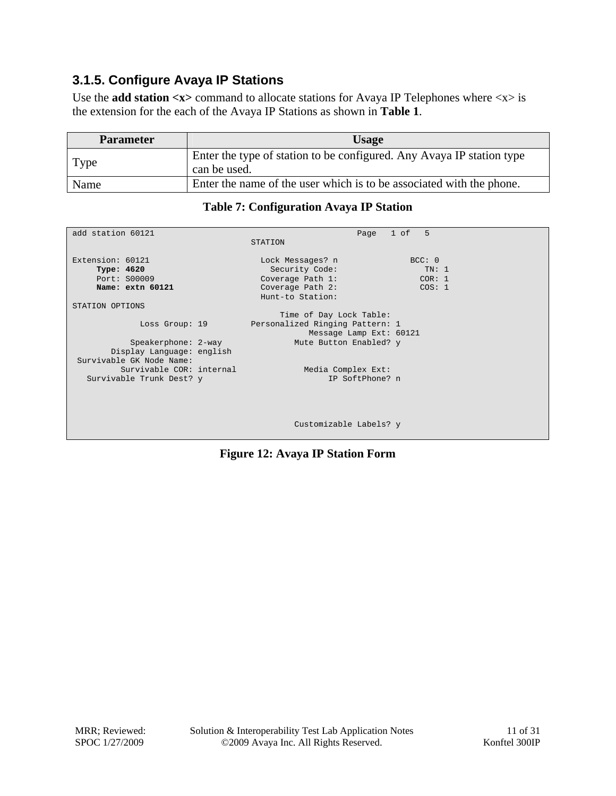## **3.1.5. Configure Avaya IP Stations**

Use the **add station <x>** command to allocate stations for Avaya IP Telephones where <x> is the extension for the each of the Avaya IP Stations as shown in **Table 1**.

| <b>Parameter</b> | <b>Usage</b>                                                                          |
|------------------|---------------------------------------------------------------------------------------|
| Type             | Enter the type of station to be configured. Any Avaya IP station type<br>can be used. |
| Name             | Enter the name of the user which is to be associated with the phone.                  |

#### **Table 7: Configuration Avaya IP Station**

| add station 60121         |                                 | Page 1 of 5 |  |
|---------------------------|---------------------------------|-------------|--|
|                           | STATION                         |             |  |
|                           |                                 |             |  |
| Extension: 60121          | Lock Messages? n                | BCC: 0      |  |
| Type: 4620                | Security Code:                  | TN:1        |  |
| Port: S00009              | Coverage Path 1:                | COR: 1      |  |
| Name: extn 60121          | Coverage Path 2:                | COS: 1      |  |
|                           | Hunt-to Station:                |             |  |
| STATION OPTIONS           |                                 |             |  |
|                           | Time of Day Lock Table:         |             |  |
| Loss Group: 19            | Personalized Ringing Pattern: 1 |             |  |
|                           | Message Lamp Ext: 60121         |             |  |
| Speakerphone: 2-way       | Mute Button Enabled? y          |             |  |
| Display Language: english |                                 |             |  |
| Survivable GK Node Name:  |                                 |             |  |
| Survivable COR: internal  | Media Complex Ext:              |             |  |
| Survivable Trunk Dest? y  | IP SoftPhone? n                 |             |  |
|                           |                                 |             |  |
|                           |                                 |             |  |
|                           |                                 |             |  |
|                           |                                 |             |  |
|                           | Customizable Labels? y          |             |  |
|                           |                                 |             |  |

**Figure 12: Avaya IP Station Form**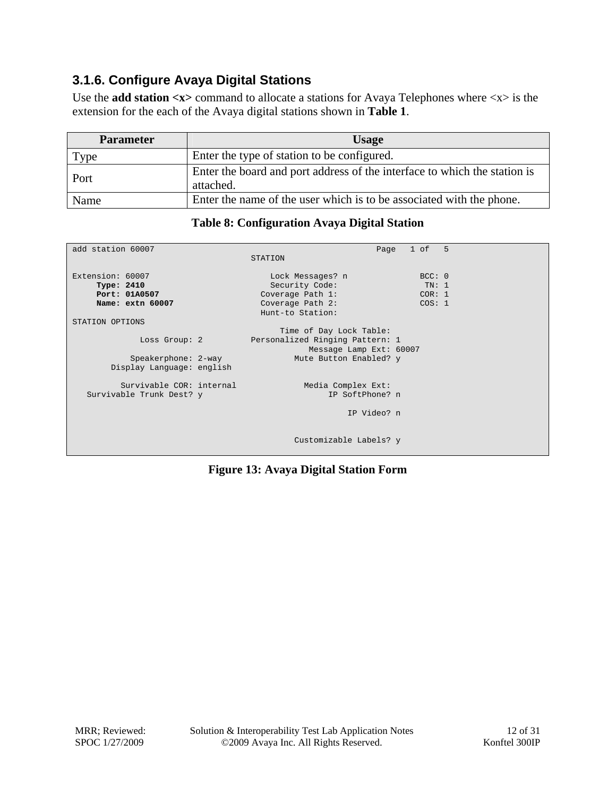## **3.1.6. Configure Avaya Digital Stations**

Use the **add station <x>** command to allocate a stations for Avaya Telephones where <x> is the extension for the each of the Avaya digital stations shown in **Table 1**.

| <b>Parameter</b> | <b>Usage</b>                                                                           |
|------------------|----------------------------------------------------------------------------------------|
| Type             | Enter the type of station to be configured.                                            |
| Port             | Enter the board and port address of the interface to which the station is<br>attached. |
| Name             | Enter the name of the user which is to be associated with the phone.                   |

#### **Table 8: Configuration Avaya Digital Station**

| add station 60007         | Page                            | 1 of 5 |  |
|---------------------------|---------------------------------|--------|--|
|                           | STATION                         |        |  |
|                           |                                 |        |  |
| Extension: 60007          | Lock Messages? n                | BCC: 0 |  |
| <b>Type: 2410</b>         | Security Code:                  | TN: 1  |  |
| Port: 01A0507             | Coverage Path 1:                | COR: 1 |  |
| Name: extn 60007          | Coverage Path 2:                | COS: 1 |  |
|                           | Hunt-to Station:                |        |  |
| STATION OPTIONS           |                                 |        |  |
|                           | Time of Day Lock Table:         |        |  |
| Loss Group: 2             | Personalized Ringing Pattern: 1 |        |  |
|                           | Message Lamp Ext: 60007         |        |  |
| Speakerphone: 2-way       | Mute Button Enabled? y          |        |  |
| Display Language: english |                                 |        |  |
|                           |                                 |        |  |
| Survivable COR: internal  | Media Complex Ext:              |        |  |
| Survivable Trunk Dest? y  | IP SoftPhone? n                 |        |  |
|                           |                                 |        |  |
|                           | IP Video? n                     |        |  |
|                           |                                 |        |  |
|                           |                                 |        |  |
|                           | Customizable Labels? y          |        |  |
|                           |                                 |        |  |

**Figure 13: Avaya Digital Station Form**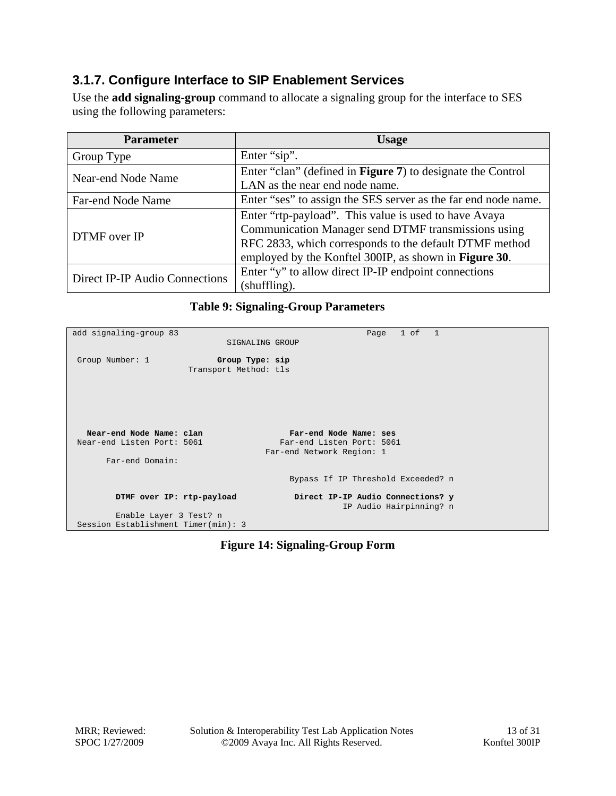## **3.1.7. Configure Interface to SIP Enablement Services**

Use the **add signaling-group** command to allocate a signaling group for the interface to SES using the following parameters:

| <b>Parameter</b>               | <b>Usage</b>                                                        |
|--------------------------------|---------------------------------------------------------------------|
| Group Type                     | Enter "sip".                                                        |
| Near-end Node Name             | Enter "clan" (defined in <b>Figure 7</b> ) to designate the Control |
|                                | LAN as the near end node name.                                      |
| Far-end Node Name              | Enter "ses" to assign the SES server as the far end node name.      |
|                                | Enter "rtp-payload". This value is used to have Avaya               |
| DTMF over IP                   | Communication Manager send DTMF transmissions using                 |
|                                | RFC 2833, which corresponds to the default DTMF method              |
|                                | employed by the Konftel 300IP, as shown in Figure 30.               |
| Direct IP-IP Audio Connections | Enter "y" to allow direct IP-IP endpoint connections                |
|                                | (shuffling).                                                        |

#### **Table 9: Signaling-Group Parameters**

| add signaling-group 83              |                       | Page 1 of 1                        |
|-------------------------------------|-----------------------|------------------------------------|
|                                     | SIGNALING GROUP       |                                    |
|                                     |                       |                                    |
|                                     |                       |                                    |
| Group Number: 1                     | Group Type: sip       |                                    |
|                                     | Transport Method: tls |                                    |
|                                     |                       |                                    |
|                                     |                       |                                    |
|                                     |                       |                                    |
|                                     |                       |                                    |
|                                     |                       |                                    |
|                                     |                       |                                    |
|                                     |                       |                                    |
|                                     |                       |                                    |
| Near-end Node Name: clan            |                       | Far-end Node Name: ses             |
| Near-end Listen Port: 5061          |                       | Far-end Listen Port: 5061          |
|                                     |                       |                                    |
|                                     |                       | Far-end Network Region: 1          |
| Far-end Domain:                     |                       |                                    |
|                                     |                       |                                    |
|                                     |                       |                                    |
|                                     |                       | Bypass If IP Threshold Exceeded? n |
|                                     |                       |                                    |
| DTMF over IP: rtp-payload           |                       | Direct IP-IP Audio Connections? y  |
|                                     |                       | IP Audio Hairpinning? n            |
|                                     |                       |                                    |
| Enable Layer 3 Test? n              |                       |                                    |
| Session Establishment Timer(min): 3 |                       |                                    |
|                                     |                       |                                    |

**Figure 14: Signaling-Group Form**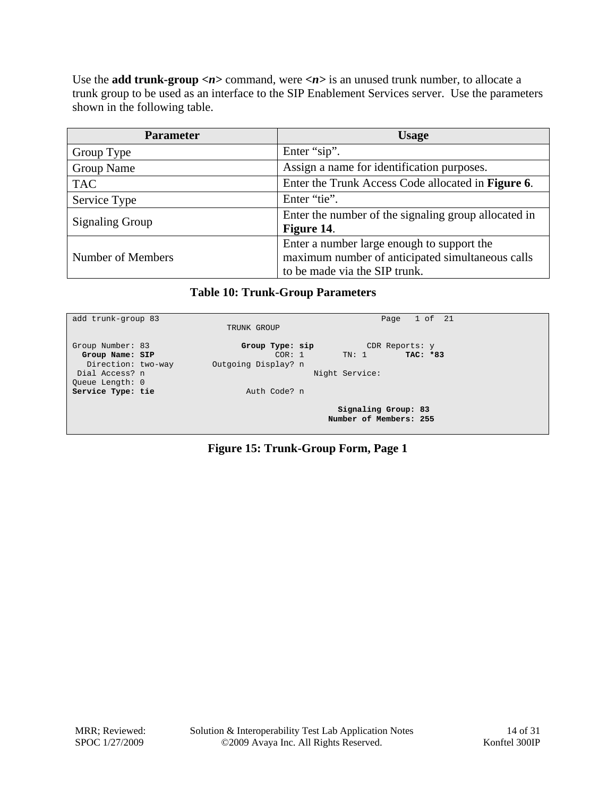Use the **add trunk-group**  $\langle n \rangle$  command, were  $\langle n \rangle$  is an unused trunk number, to allocate a trunk group to be used as an interface to the SIP Enablement Services server. Use the parameters shown in the following table.

| <b>Parameter</b>                                                 | Usage                                                |  |
|------------------------------------------------------------------|------------------------------------------------------|--|
| Group Type                                                       | Enter "sip".                                         |  |
| Group Name                                                       | Assign a name for identification purposes.           |  |
| Enter the Trunk Access Code allocated in Figure 6.<br><b>TAC</b> |                                                      |  |
| Service Type                                                     | Enter "tie".                                         |  |
|                                                                  | Enter the number of the signaling group allocated in |  |
| <b>Signaling Group</b>                                           | Figure 14.                                           |  |
|                                                                  | Enter a number large enough to support the           |  |
| Number of Members                                                | maximum number of anticipated simultaneous calls     |  |
|                                                                  | to be made via the SIP trunk.                        |  |

#### **Table 10: Trunk-Group Parameters**

| add trunk-group 83 |                     | 1 of 21<br>Page        |
|--------------------|---------------------|------------------------|
|                    | TRUNK GROUP         |                        |
| Group Number: 83   | Group Type: sip     | CDR Reports: y         |
| Group Name: SIP    | COR: 1              | TAC: *83<br>TN:1       |
| Direction: two-way | Outgoing Display? n |                        |
| Dial Access? n     |                     | Night Service:         |
| Oueue Length: 0    |                     |                        |
| Service Type: tie  | Auth Code? n        |                        |
|                    |                     |                        |
|                    |                     | Signaling Group: 83    |
|                    |                     | Number of Members: 255 |
|                    |                     |                        |

#### **Figure 15: Trunk-Group Form, Page 1**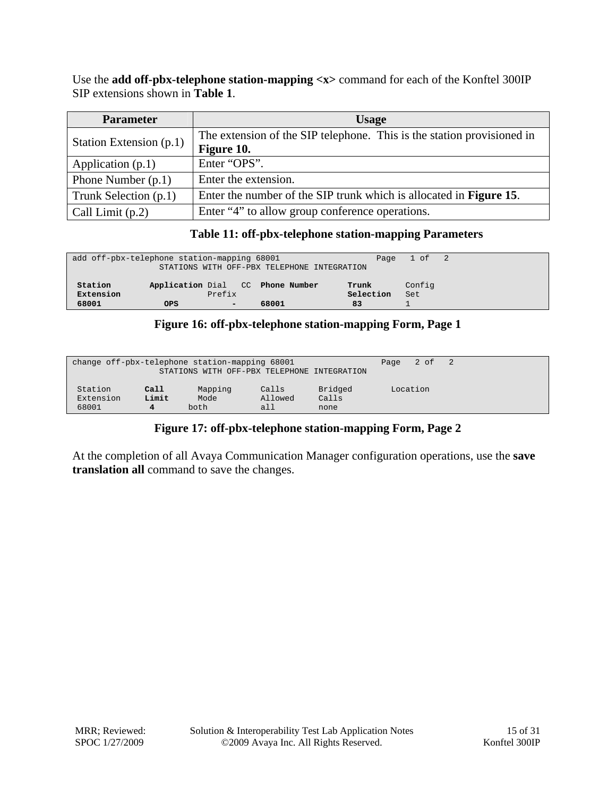Use the **add off-pbx-telephone station-mapping <x>** command for each of the Konftel 300IP SIP extensions shown in **Table 1**.

| <b>Parameter</b>        | <b>Usage</b>                                                               |  |  |
|-------------------------|----------------------------------------------------------------------------|--|--|
| Station Extension (p.1) | The extension of the SIP telephone. This is the station provisioned in     |  |  |
|                         | Figure 10.                                                                 |  |  |
| Application $(p.1)$     | Enter "OPS".                                                               |  |  |
| Phone Number $(p.1)$    | Enter the extension.                                                       |  |  |
| Trunk Selection (p.1)   | Enter the number of the SIP trunk which is allocated in <b>Figure 15</b> . |  |  |
| Call Limit $(p.2)$      | Enter "4" to allow group conference operations.                            |  |  |

#### **Table 11: off-pbx-telephone station-mapping Parameters**

| add off-pbx-telephone station-mapping 68001 |     |        | STATIONS WITH OFF-PBX TELEPHONE INTEGRATION |                    | Page 1 of 2   |  |
|---------------------------------------------|-----|--------|---------------------------------------------|--------------------|---------------|--|
| Station<br>Extension                        |     | Prefix | Application Dial CC Phone Number            | Trunk<br>Selection | Config<br>Set |  |
| 68001                                       | OPS | -      | 68001                                       | 83                 |               |  |

#### **Figure 16: off-pbx-telephone station-mapping Form, Page 1**

| change off-pbx-telephone station-mapping 68001<br>STATIONS WITH OFF-PBX TELEPHONE INTEGRATION |               |                         |                         | $2$ of<br>Page           | - 2      |  |
|-----------------------------------------------------------------------------------------------|---------------|-------------------------|-------------------------|--------------------------|----------|--|
| Station<br>Extension<br>68001                                                                 | Call<br>Limit | Mapping<br>Mode<br>both | Calls<br>Allowed<br>all | Bridged<br>Calls<br>none | Location |  |

#### **Figure 17: off-pbx-telephone station-mapping Form, Page 2**

At the completion of all Avaya Communication Manager configuration operations, use the **save translation all** command to save the changes.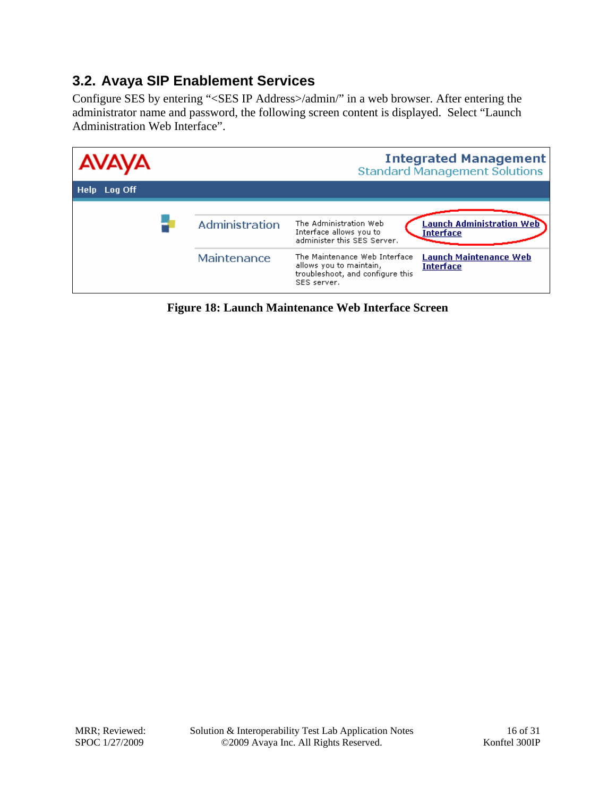## **3.2. Avaya SIP Enablement Services**

Configure SES by entering "<SES IP Address>/admin/" in a web browser. After entering the administrator name and password, the following screen content is displayed. Select "Launch Administration Web Interface".



**Figure 18: Launch Maintenance Web Interface Screen**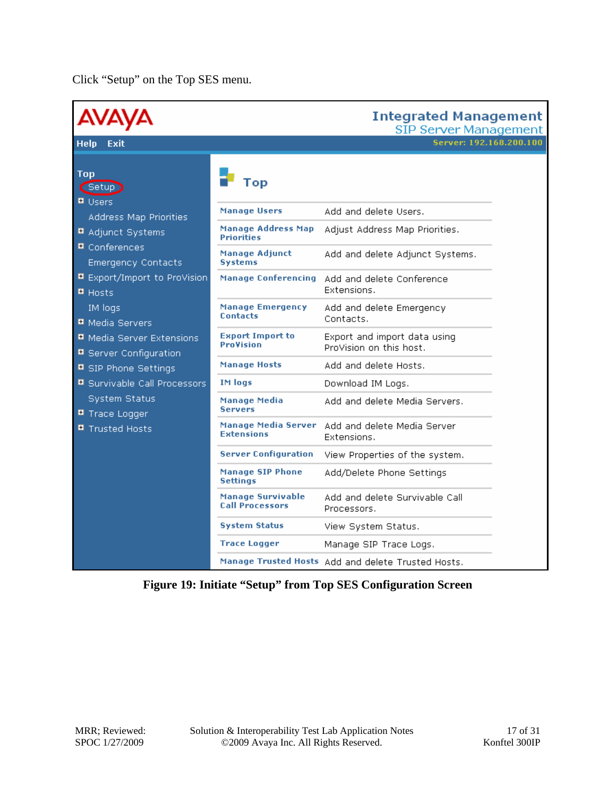Click "Setup" on the Top SES menu.

| AVAYA                                                      |                                                    | <b>Integrated Management</b><br><b>SIP Server Management</b> |  |
|------------------------------------------------------------|----------------------------------------------------|--------------------------------------------------------------|--|
| Help Exit                                                  |                                                    | Server: 192.168.200.100                                      |  |
| <b>Top</b><br>(Setup)<br><b>■</b> Users                    | Top<br><b>Manage Users</b>                         | Add and delete Users.                                        |  |
| Address Map Priorities<br><b>■</b> Adjunct Systems         | <b>Manage Address Map</b><br><b>Priorities</b>     | Adjust Address Map Priorities.                               |  |
| Conferences<br><b>Emergency Contacts</b>                   | <b>Manage Adjunct</b><br><b>Systems</b>            | Add and delete Adjunct Systems.                              |  |
| ■ Export/Import to ProVision<br><b>■</b> Hosts             | <b>Manage Conferencing</b>                         | Add and delete Conference<br>Extensions.                     |  |
| IM logs<br><b>■</b> Media Servers                          | <b>Manage Emergency</b><br><b>Contacts</b>         | Add and delete Emergency.<br>Contacts.                       |  |
| ■ Media Server Extensions<br><b>■</b> Server Configuration | <b>Export Import to</b><br><b>ProVision</b>        | Export and import data using<br>ProVision on this host.      |  |
| <b>■</b> SIP Phone Settings                                | <b>Manage Hosts</b>                                | Add and delete Hosts.                                        |  |
| ■ Survivable Call Processors                               | <b>IM</b> logs                                     | Download IM Logs.                                            |  |
| <b>System Status</b><br>■ Trace Logger                     | <b>Manage Media</b><br>Servers                     | Add and delete Media Servers.                                |  |
| ■ Trusted Hosts                                            | <b>Manage Media Server</b><br><b>Extensions</b>    | Add and delete Media Server<br>Extensions.                   |  |
|                                                            | <b>Server Configuration</b>                        | View Properties of the system.                               |  |
|                                                            | <b>Manage SIP Phone</b><br><b>Settings</b>         | Add/Delete Phone Settings                                    |  |
|                                                            | <b>Manage Survivable</b><br><b>Call Processors</b> | Add and delete Survivable Call.<br>Processors.               |  |
|                                                            | <b>System Status</b>                               | View System Status.                                          |  |
|                                                            | <b>Trace Logger</b>                                | Manage SIP Trace Logs.                                       |  |
|                                                            |                                                    | Manage Trusted Hosts Add and delete Trusted Hosts.           |  |

**Figure 19: Initiate "Setup" from Top SES Configuration Screen**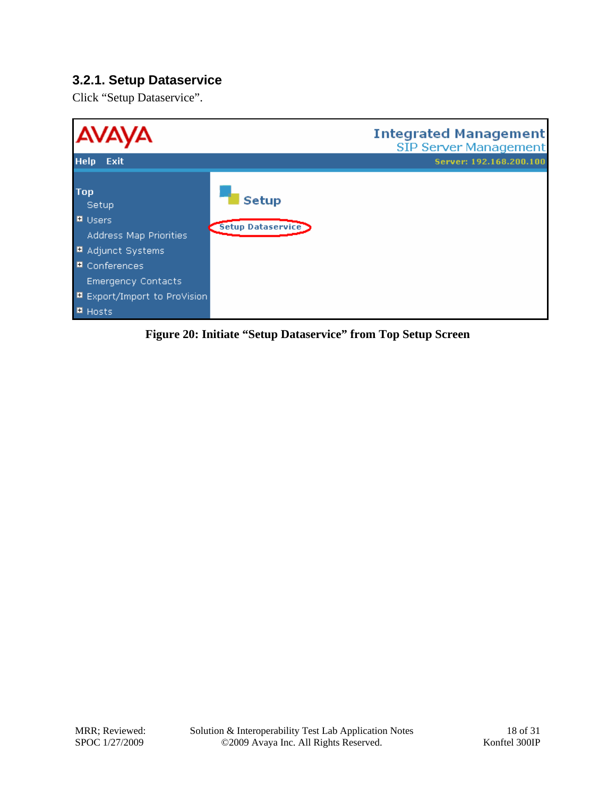## **3.2.1. Setup Dataservice**

Click "Setup Dataservice".



**Figure 20: Initiate "Setup Dataservice" from Top Setup Screen**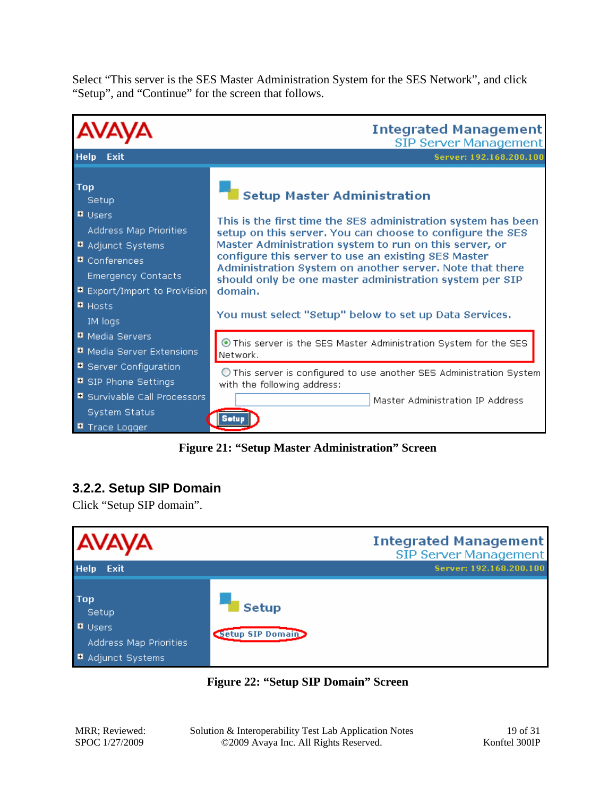Select "This server is the SES Master Administration System for the SES Network", and click "Setup", and "Continue" for the screen that follows.



**Figure 21: "Setup Master Administration" Screen** 

## **3.2.2. Setup SIP Domain**

Click "Setup SIP domain".



**Figure 22: "Setup SIP Domain" Screen**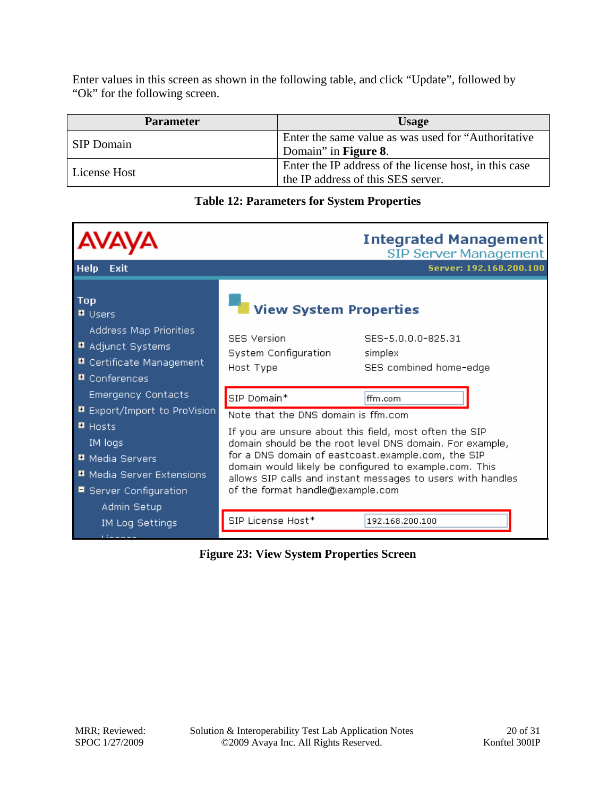Enter values in this screen as shown in the following table, and click "Update", followed by "Ok" for the following screen.

| <b>Parameter</b>  | <b>Usage</b>                                           |  |  |
|-------------------|--------------------------------------------------------|--|--|
|                   | Enter the same value as was used for "Authoritative"   |  |  |
| <b>SIP</b> Domain | Domain" in <b>Figure 8</b> .                           |  |  |
| License Host      | Enter the IP address of the license host, in this case |  |  |
|                   | the IP address of this SES server.                     |  |  |

|                                                                                                             |                                                                                                                                                                                         | <b>Integrated Management</b><br><b>SIP Server Management</b>                                                                                                                      |
|-------------------------------------------------------------------------------------------------------------|-----------------------------------------------------------------------------------------------------------------------------------------------------------------------------------------|-----------------------------------------------------------------------------------------------------------------------------------------------------------------------------------|
| <b>Help</b><br>Exit                                                                                         |                                                                                                                                                                                         | Server: 192.168.200.100                                                                                                                                                           |
| <b>Top</b><br><b>■</b> Users                                                                                | <b>View System Properties</b>                                                                                                                                                           |                                                                                                                                                                                   |
| Address Map Priorities<br>■ Adjunct Systems<br>■ Certificate Management<br>■ Conferences                    | <b>SES Version</b><br>System Configuration<br>Host Type                                                                                                                                 | SES-5.0.0.0-825.31<br>simplex<br>SES combined home-edge                                                                                                                           |
| <b>Emergency Contacts</b><br>■ Export/Import to ProVision                                                   | SIP Domain*                                                                                                                                                                             | ffm.com                                                                                                                                                                           |
| $H$ Hosts<br>IM logs<br>■ Media Servers<br>Media Server Extensions<br>■ Server Configuration<br>Admin Setup | Note that the DNS domain is ffm.com<br>If you are unsure about this field, most often the SIP<br>for a DNS domain of eastcoast.example.com, the SIP<br>of the format handle@example.com | domain should be the root level DNS domain. For example,<br>domain would likely be configured to example.com. This<br>allows SIP calls and instant messages to users with handles |
| <b>IM Log Settings</b><br><b>Lineman</b>                                                                    | SIP License Host*                                                                                                                                                                       | 192.168.200.100                                                                                                                                                                   |

### **Table 12: Parameters for System Properties**

**Figure 23: View System Properties Screen**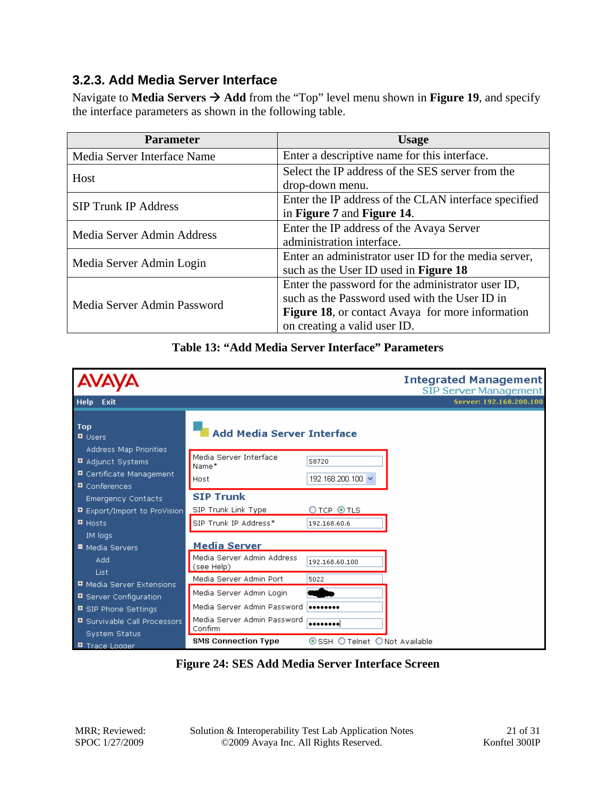## **3.2.3. Add Media Server Interface**

Navigate to **Media Servers**  $\rightarrow$  **Add** from the "Top" level menu shown in **Figure 19**, and specify the interface parameters as shown in the following table.

| <b>Parameter</b>            | <b>Usage</b>                                         |  |
|-----------------------------|------------------------------------------------------|--|
| Media Server Interface Name | Enter a descriptive name for this interface.         |  |
| Host                        | Select the IP address of the SES server from the     |  |
|                             | drop-down menu.                                      |  |
| <b>SIP Trunk IP Address</b> | Enter the IP address of the CLAN interface specified |  |
|                             | in Figure 7 and Figure 14.                           |  |
| Media Server Admin Address  | Enter the IP address of the Avaya Server             |  |
|                             | administration interface.                            |  |
|                             | Enter an administrator user ID for the media server, |  |
| Media Server Admin Login    | such as the User ID used in <b>Figure 18</b>         |  |
|                             | Enter the password for the administrator user ID,    |  |
| Media Server Admin Password | such as the Password used with the User ID in        |  |
|                             | Figure 18, or contact Avaya for more information     |  |
|                             | on creating a valid user ID.                         |  |





**Figure 24: SES Add Media Server Interface Screen**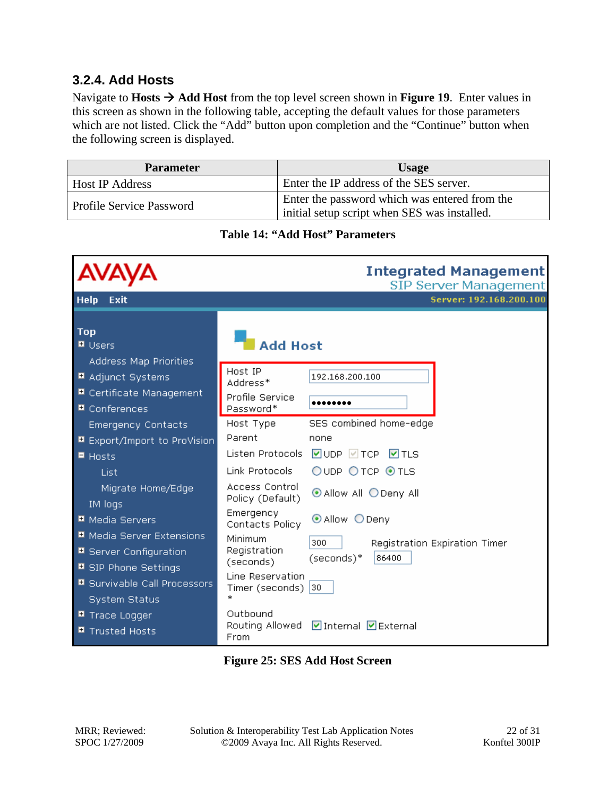## **3.2.4. Add Hosts**

Navigate to **Hosts**  $\rightarrow$  **Add Host** from the top level screen shown in **Figure 19**. Enter values in this screen as shown in the following table, accepting the default values for those parameters which are not listed. Click the "Add" button upon completion and the "Continue" button when the following screen is displayed.

| <b>Parameter</b>         | <b>Usage</b>                                  |  |  |
|--------------------------|-----------------------------------------------|--|--|
| Host IP Address          | Enter the IP address of the SES server.       |  |  |
| Profile Service Password | Enter the password which was entered from the |  |  |
|                          | initial setup script when SES was installed.  |  |  |

**Table 14: "Add Host" Parameters** 

|                                                                                            |                                      | <b>Integrated Management</b><br><b>SIP Server Management</b> |
|--------------------------------------------------------------------------------------------|--------------------------------------|--------------------------------------------------------------|
| <b>Help</b><br><b>Exit</b>                                                                 |                                      | Server: 192.168.200.100                                      |
| <b>Top</b><br><b>■</b> Users<br>Address Map Priorities                                     | <b>Add Host</b>                      |                                                              |
| <b>■</b> Adjunct Systems                                                                   | Host IP<br>Address*                  | 192.168.200.100                                              |
| <b>■</b> Certificate Management<br>$\blacksquare$ Conferences                              | Profile Service<br>Password*         |                                                              |
| <b>Emergency Contacts</b>                                                                  | Host Type                            | SES combined home-edge                                       |
| ■ Export/Import to ProVision.                                                              | Parent                               | none                                                         |
| $\blacksquare$ Hosts                                                                       | Listen Protocols                     | <b>ØUDP</b> ⊠ TCP<br><b>☑</b> TLS                            |
| List                                                                                       | Link Protocols                       | OUDP OTCP ⊙TLS                                               |
| Migrate Home/Edge<br>IM logs                                                               | Access Control<br>Policy (Default)   | ⊙ Allow All O Deny All                                       |
| <b>■</b> Media Servers                                                                     | Emergency<br>Contacts Policy         | ⊙ Allow ○ Deny                                               |
| ■ Media Server Extensions<br>■ Server Configuration                                        | Minimum<br>Registration<br>(seconds) | 300<br>Registration Expiration Timer<br>(seconds)*<br>86400  |
| <b>■</b> SIP Phone Settings<br><b>■ Survivable Call Processors</b><br><b>System Status</b> | Line Reservation<br>Timer (seconds)  | 30                                                           |
| ■ Trace Logger<br>■ Trusted Hosts                                                          | Outbound<br>Routing Allowed<br>From  | <b>Ø</b> Internal ØExternal                                  |

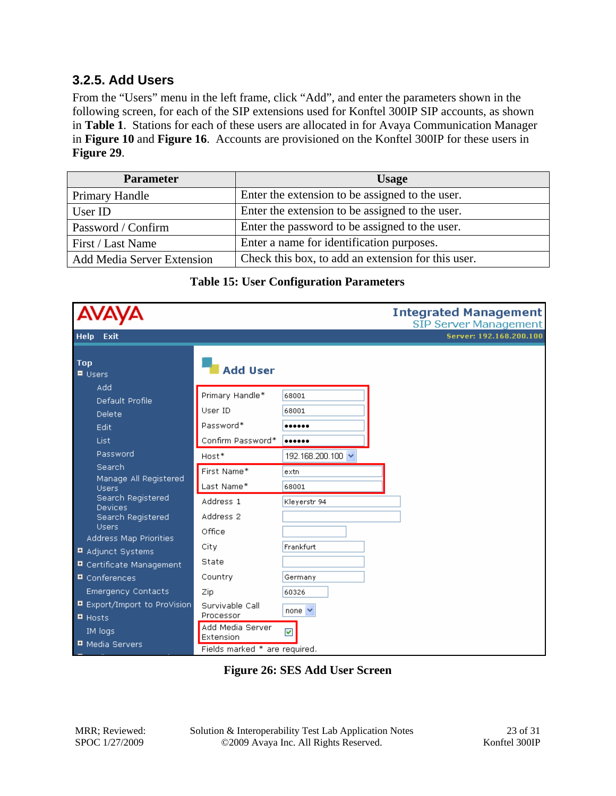### **3.2.5. Add Users**

From the "Users" menu in the left frame, click "Add", and enter the parameters shown in the following screen, for each of the SIP extensions used for Konftel 300IP SIP accounts, as shown in **Table 1**. Stations for each of these users are allocated in for Avaya Communication Manager in **Figure 10** and **Figure 16**. Accounts are provisioned on the Konftel 300IP for these users in **Figure 29**.

| <b>Parameter</b>                  | <b>Usage</b>                                       |
|-----------------------------------|----------------------------------------------------|
| <b>Primary Handle</b>             | Enter the extension to be assigned to the user.    |
| User ID                           | Enter the extension to be assigned to the user.    |
| Password / Confirm                | Enter the password to be assigned to the user.     |
| First / Last Name                 | Enter a name for identification purposes.          |
| <b>Add Media Server Extension</b> | Check this box, to add an extension for this user. |

#### **Table 15: User Configuration Parameters**

|                                                                                                                                                    |                                                                                                                  |                                                         | <b>Integrated Management</b><br>SIP Server Management |
|----------------------------------------------------------------------------------------------------------------------------------------------------|------------------------------------------------------------------------------------------------------------------|---------------------------------------------------------|-------------------------------------------------------|
| <b>Help</b><br>Exit                                                                                                                                |                                                                                                                  |                                                         | Server: 192.168.200.100                               |
| <b>Top</b><br>■ Users                                                                                                                              | <b>Add User</b>                                                                                                  |                                                         |                                                       |
| Add<br>Default Profile<br>Delete<br>Edit<br>List.                                                                                                  | Primary Handle*<br>User ID<br>Password*<br>Confirm Password*                                                     | 68001<br>68001<br><br>                                  |                                                       |
| Password<br>Search<br>Manage All Registered<br><b>Users</b>                                                                                        | Host*<br>First Name*<br>Last Name*                                                                               | 192.168.200.100 $\vee$<br>extn.<br>68001                |                                                       |
| Search Registered<br>Devices.<br>Search Registered<br><b>Users</b><br><b>Address Map Priorities</b><br>Adjunct Systems<br>■ Certificate Management | Address 1<br>Address <sub>2</sub><br>Office<br>City<br>State                                                     | Kleyerstr 94<br>Frankfurt                               |                                                       |
| $\blacksquare$ Conferences<br><b>Emergency Contacts</b><br>■ Export/Import to ProVision<br>$\blacksquare$ Hosts<br>IM logs<br>■ Media Servers      | Country<br>Zip<br>Survivable Call<br>Processor<br>Add Media Server<br>Extension<br>Fields marked * are required. | Germany<br>60326<br>none $\vee$<br>$\blacktriangledown$ |                                                       |

**Figure 26: SES Add User Screen**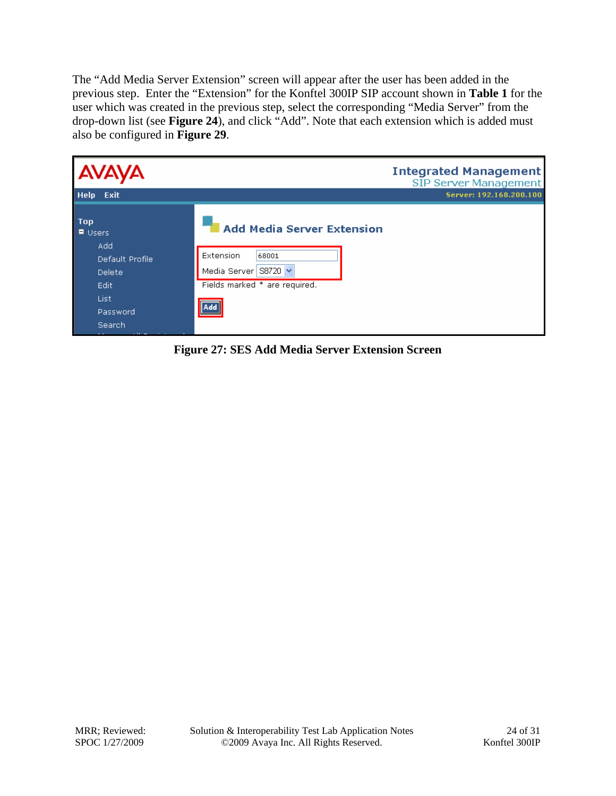The "Add Media Server Extension" screen will appear after the user has been added in the previous step. Enter the "Extension" for the Konftel 300IP SIP account shown in **Table 1** for the user which was created in the previous step, select the corresponding "Media Server" from the drop-down list (see **Figure 24**), and click "Add". Note that each extension which is added must also be configured in **Figure 29**.

| <b>AVAYA</b>                                                                                    |                                                                                                                              | <b>Integrated Management</b><br>SIP Server Management |
|-------------------------------------------------------------------------------------------------|------------------------------------------------------------------------------------------------------------------------------|-------------------------------------------------------|
| Help<br>Exit                                                                                    |                                                                                                                              | Server: 192.168.200.100                               |
| Top<br>■ Users<br>Add<br>Default Profile<br><b>Delete</b><br>Edit<br>List<br>Password<br>Search | <b>Add Media Server Extension</b><br>Extension<br>68001<br>Media Server S8720 $\vee$<br>Fields marked * are required.<br>Add |                                                       |

**Figure 27: SES Add Media Server Extension Screen**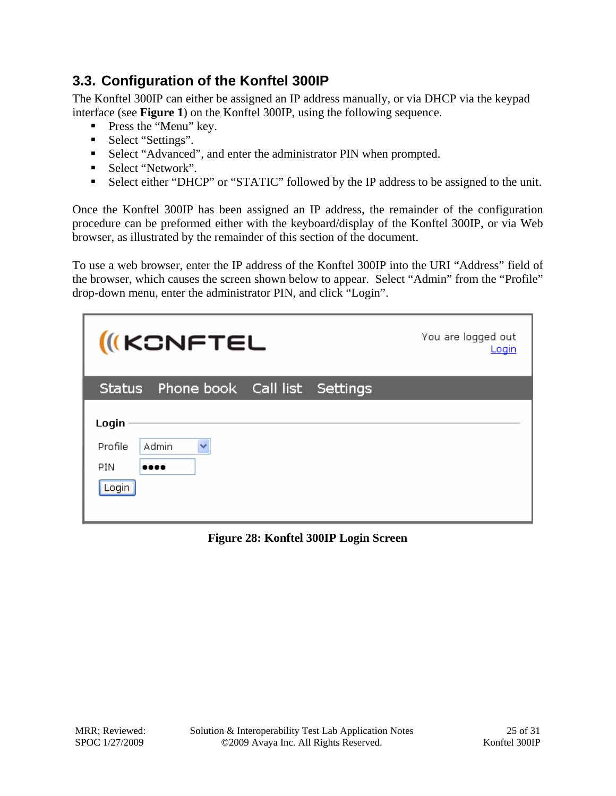## **3.3. Configuration of the Konftel 300IP**

The Konftel 300IP can either be assigned an IP address manually, or via DHCP via the keypad interface (see **Figure 1**) on the Konftel 300IP, using the following sequence.

- **Press the "Menu" key.**
- Select "Settings".
- Select "Advanced", and enter the administrator PIN when prompted.
- Select "Network".
- Select either "DHCP" or "STATIC" followed by the IP address to be assigned to the unit.

Once the Konftel 300IP has been assigned an IP address, the remainder of the configuration procedure can be preformed either with the keyboard/display of the Konftel 300IP, or via Web browser, as illustrated by the remainder of this section of the document.

To use a web browser, enter the IP address of the Konftel 300IP into the URI "Address" field of the browser, which causes the screen shown below to appear. Select "Admin" from the "Profile" drop-down menu, enter the administrator PIN, and click "Login".

| <b>(IKCNFTEL</b>                                          |  |  | You are logged out<br>Login |
|-----------------------------------------------------------|--|--|-----------------------------|
| Status Phone book Call list Settings                      |  |  |                             |
| Login<br>v<br>Admin<br>Profile<br><b>PIN</b><br><br>Login |  |  |                             |

**Figure 28: Konftel 300IP Login Screen**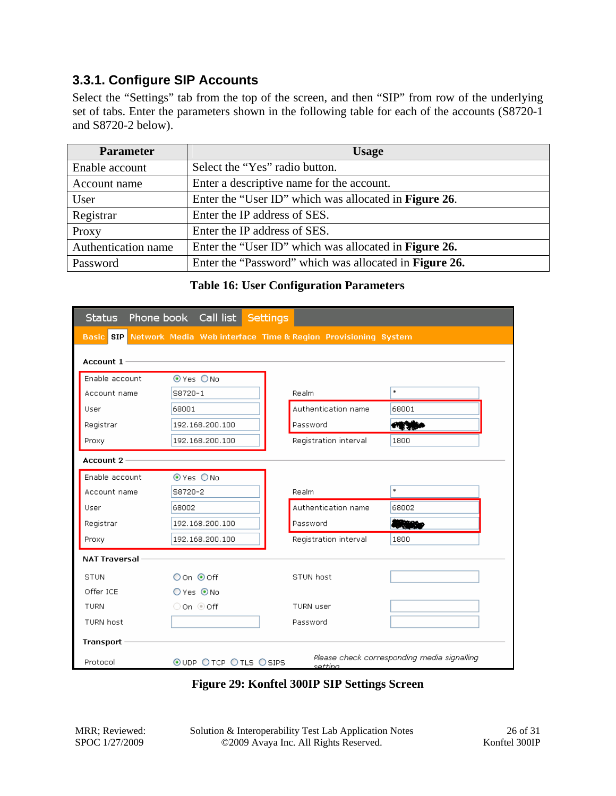## **3.3.1. Configure SIP Accounts**

Select the "Settings" tab from the top of the screen, and then "SIP" from row of the underlying set of tabs. Enter the parameters shown in the following table for each of the accounts (S8720-1 and S8720-2 below).

| <b>Parameter</b>    | <b>Usage</b>                                                  |  |  |
|---------------------|---------------------------------------------------------------|--|--|
| Enable account      | Select the "Yes" radio button.                                |  |  |
| Account name        | Enter a descriptive name for the account.                     |  |  |
| User                | Enter the "User ID" which was allocated in <b>Figure 26</b> . |  |  |
| Registrar           | Enter the IP address of SES.                                  |  |  |
| Proxy               | Enter the IP address of SES.                                  |  |  |
| Authentication name | Enter the "User ID" which was allocated in Figure 26.         |  |  |
| Password            | Enter the "Password" which was allocated in <b>Figure 26.</b> |  |  |

#### **Table 16: User Configuration Parameters**

| Phone book Call list Settings<br><b>Status</b> |                                                               |  |                       |                                             |  |  |
|------------------------------------------------|---------------------------------------------------------------|--|-----------------------|---------------------------------------------|--|--|
| <b>Basic SIP</b>                               | Network Media Web interface Time & Region Provisioning System |  |                       |                                             |  |  |
| Account 1                                      |                                                               |  |                       |                                             |  |  |
| Enable account                                 | ⊙Yes ONo                                                      |  |                       |                                             |  |  |
| Account name                                   | S8720-1                                                       |  | Realm                 | $\ast$                                      |  |  |
| User                                           | 68001                                                         |  | Authentication name   | 68001                                       |  |  |
| Registrar                                      | 192.168.200.100                                               |  | Password              | engelijke                                   |  |  |
| Proxy                                          | 192.168.200.100                                               |  | Registration interval | 1800                                        |  |  |
| Account 2                                      |                                                               |  |                       |                                             |  |  |
| Enable account                                 | ⊙Yes ONo                                                      |  |                       |                                             |  |  |
| Account name                                   | S8720-2                                                       |  | Realm                 | $\ast$                                      |  |  |
| User                                           | 68002                                                         |  | Authentication name   | 68002                                       |  |  |
| Registrar                                      | 192.168.200.100                                               |  | Password              | Wanto                                       |  |  |
| Proxy                                          | 192.168.200.100                                               |  | Registration interval | 1800                                        |  |  |
| <b>NAT Traversal</b>                           |                                                               |  |                       |                                             |  |  |
| <b>STUN</b>                                    | Oon <b>⊙</b> off                                              |  | STUN host             |                                             |  |  |
| Offer ICE                                      | $OYes$ $@No$                                                  |  |                       |                                             |  |  |
| <b>TURN</b>                                    | $\bigcirc$ on $\bigcirc$ off                                  |  | TURN user             |                                             |  |  |
| <b>TURN</b> host                               |                                                               |  | Password              |                                             |  |  |
| Transport                                      |                                                               |  |                       |                                             |  |  |
| Protocol                                       | OUDP OTCP OTLS OSIPS                                          |  | settina               | Please check corresponding media signalling |  |  |

**Figure 29: Konftel 300IP SIP Settings Screen**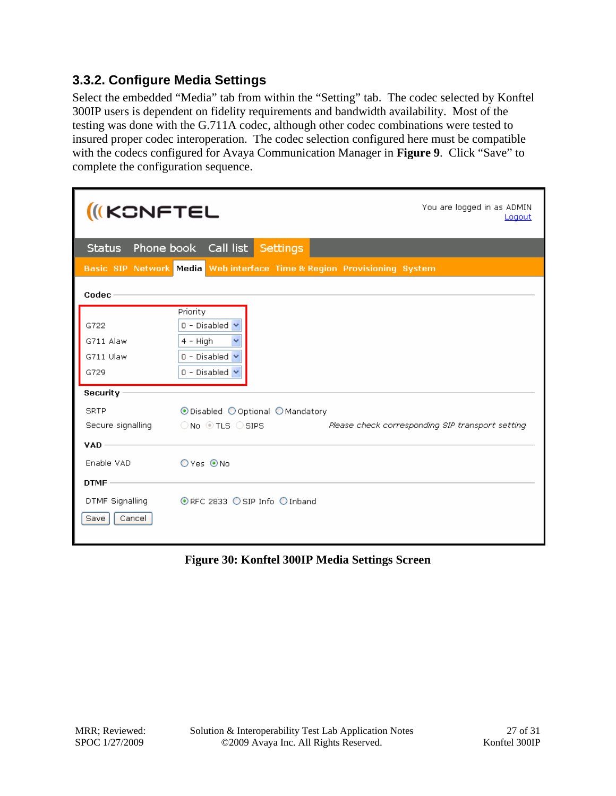## **3.3.2. Configure Media Settings**

Select the embedded "Media" tab from within the "Setting" tab. The codec selected by Konftel 300IP users is dependent on fidelity requirements and bandwidth availability. Most of the testing was done with the G.711A codec, although other codec combinations were tested to insured proper codec interoperation. The codec selection configured here must be compatible with the codecs configured for Avaya Communication Manager in **Figure 9**. Click "Save" to complete the configuration sequence.

| (IKCNFTEL                                      |                                                                                                                                              | You are logged in as ADMIN<br>Logout |  |  |  |
|------------------------------------------------|----------------------------------------------------------------------------------------------------------------------------------------------|--------------------------------------|--|--|--|
|                                                | Status Phone book Call list Settings                                                                                                         |                                      |  |  |  |
|                                                | Basic SIP Network Media Web interface Time & Region Provisioning System                                                                      |                                      |  |  |  |
| Codec                                          |                                                                                                                                              |                                      |  |  |  |
| G722<br>G711 Alaw<br>G711 Ulaw<br>G729         | Priority<br>$0$ - Disabled $\vee$<br>$4 - High$<br>$0$ - Disabled $\vee$<br>$0$ - Disabled $\vee$                                            |                                      |  |  |  |
| Security $-$                                   |                                                                                                                                              |                                      |  |  |  |
| <b>SRTP</b><br>Secure signalling<br><b>VAD</b> | ⊙Disabled ○ Optional ○ Mandatory<br>$\bigcirc$ No $\,\circ$ TLS $\,\bigcirc$ SIPS $\,\cdot$ Please check corresponding SIP transport setting |                                      |  |  |  |
| Enable VAD                                     | $OYes$ $@$ No                                                                                                                                |                                      |  |  |  |
| <b>DTMF</b><br>Cancel<br>Save                  |                                                                                                                                              |                                      |  |  |  |

#### **Figure 30: Konftel 300IP Media Settings Screen**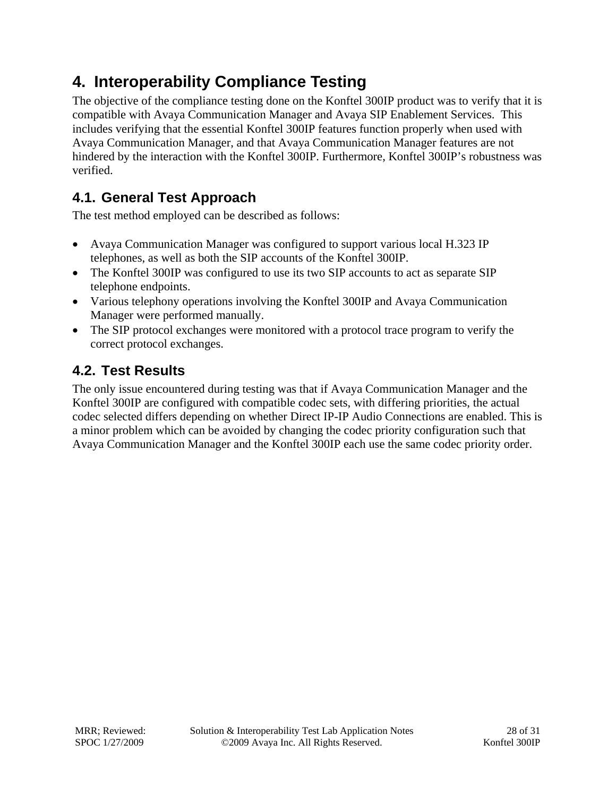# **4. Interoperability Compliance Testing**

The objective of the compliance testing done on the Konftel 300IP product was to verify that it is compatible with Avaya Communication Manager and Avaya SIP Enablement Services. This includes verifying that the essential Konftel 300IP features function properly when used with Avaya Communication Manager, and that Avaya Communication Manager features are not hindered by the interaction with the Konftel 300IP. Furthermore, Konftel 300IP's robustness was verified.

## **4.1. General Test Approach**

The test method employed can be described as follows:

- Avaya Communication Manager was configured to support various local H.323 IP telephones, as well as both the SIP accounts of the Konftel 300IP.
- The Konftel 300IP was configured to use its two SIP accounts to act as separate SIP telephone endpoints.
- Various telephony operations involving the Konftel 300IP and Avaya Communication Manager were performed manually.
- The SIP protocol exchanges were monitored with a protocol trace program to verify the correct protocol exchanges.

## **4.2. Test Results**

The only issue encountered during testing was that if Avaya Communication Manager and the Konftel 300IP are configured with compatible codec sets, with differing priorities, the actual codec selected differs depending on whether Direct IP-IP Audio Connections are enabled. This is a minor problem which can be avoided by changing the codec priority configuration such that Avaya Communication Manager and the Konftel 300IP each use the same codec priority order.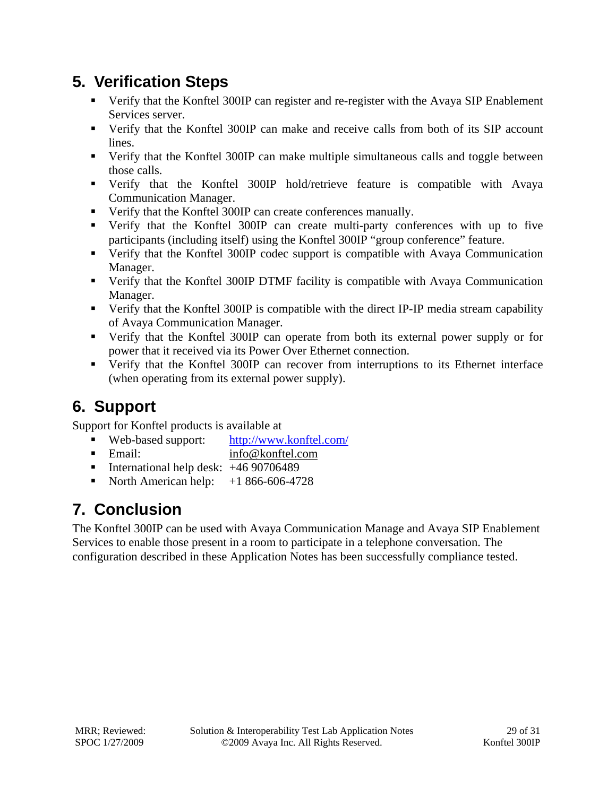## **5. Verification Steps**

- Verify that the Konftel 300IP can register and re-register with the Avaya SIP Enablement Services server.
- Verify that the Konftel 300IP can make and receive calls from both of its SIP account lines.
- Verify that the Konftel 300IP can make multiple simultaneous calls and toggle between those calls.
- Verify that the Konftel 300IP hold/retrieve feature is compatible with Avaya Communication Manager.
- Verify that the Konftel 300IP can create conferences manually.
- Verify that the Konftel 300IP can create multi-party conferences with up to five participants (including itself) using the Konftel 300IP "group conference" feature.
- Verify that the Konftel 300IP codec support is compatible with Avaya Communication Manager.
- Verify that the Konftel 300IP DTMF facility is compatible with Avaya Communication Manager.
- Verify that the Konftel 300IP is compatible with the direct IP-IP media stream capability of Avaya Communication Manager.
- Verify that the Konftel 300IP can operate from both its external power supply or for power that it received via its Power Over Ethernet connection.
- Verify that the Konftel 300IP can recover from interruptions to its Ethernet interface (when operating from its external power supply).

# **6. Support**

Support for Konftel products is available at

- Web-based support: http://www.konftel.com/
- Email: info@konftel.com
- International help desk:  $\overline{+4690706489}$
- North American help:  $+1866-606-4728$

# **7. Conclusion**

The Konftel 300IP can be used with Avaya Communication Manage and Avaya SIP Enablement Services to enable those present in a room to participate in a telephone conversation. The configuration described in these Application Notes has been successfully compliance tested.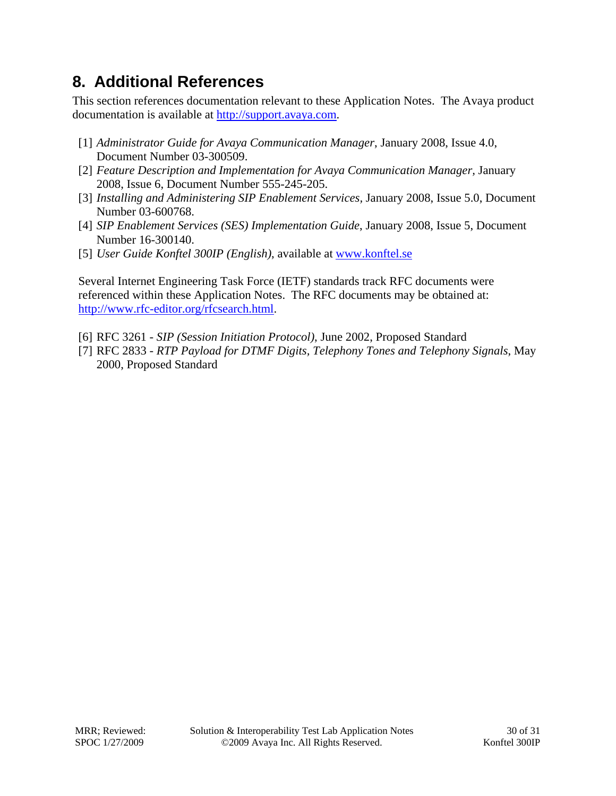## **8. Additional References**

This section references documentation relevant to these Application Notes. The Avaya product documentation is available at http://support.avaya.com.

- [1] *Administrator Guide for Avaya Communication Manager*, January 2008, Issue 4.0, Document Number 03-300509.
- [2] *Feature Description and Implementation for Avaya Communication Manager,* January 2008, Issue 6, Document Number 555-245-205.
- [3] *Installing and Administering SIP Enablement Services,* January 2008, Issue 5.0, Document Number 03-600768.
- [4] *SIP Enablement Services (SES) Implementation Guide*, January 2008, Issue 5, Document Number 16-300140.
- [5] *User Guide Konftel 300IP (English)*, available at www.konftel.se

Several Internet Engineering Task Force (IETF) standards track RFC documents were referenced within these Application Notes. The RFC documents may be obtained at: http://www.rfc-editor.org/rfcsearch.html.

- [6] RFC 3261 *SIP (Session Initiation Protocol)*, June 2002, Proposed Standard
- [7] RFC 2833 *RTP Payload for DTMF Digits, Telephony Tones and Telephony Signals*, May 2000, Proposed Standard